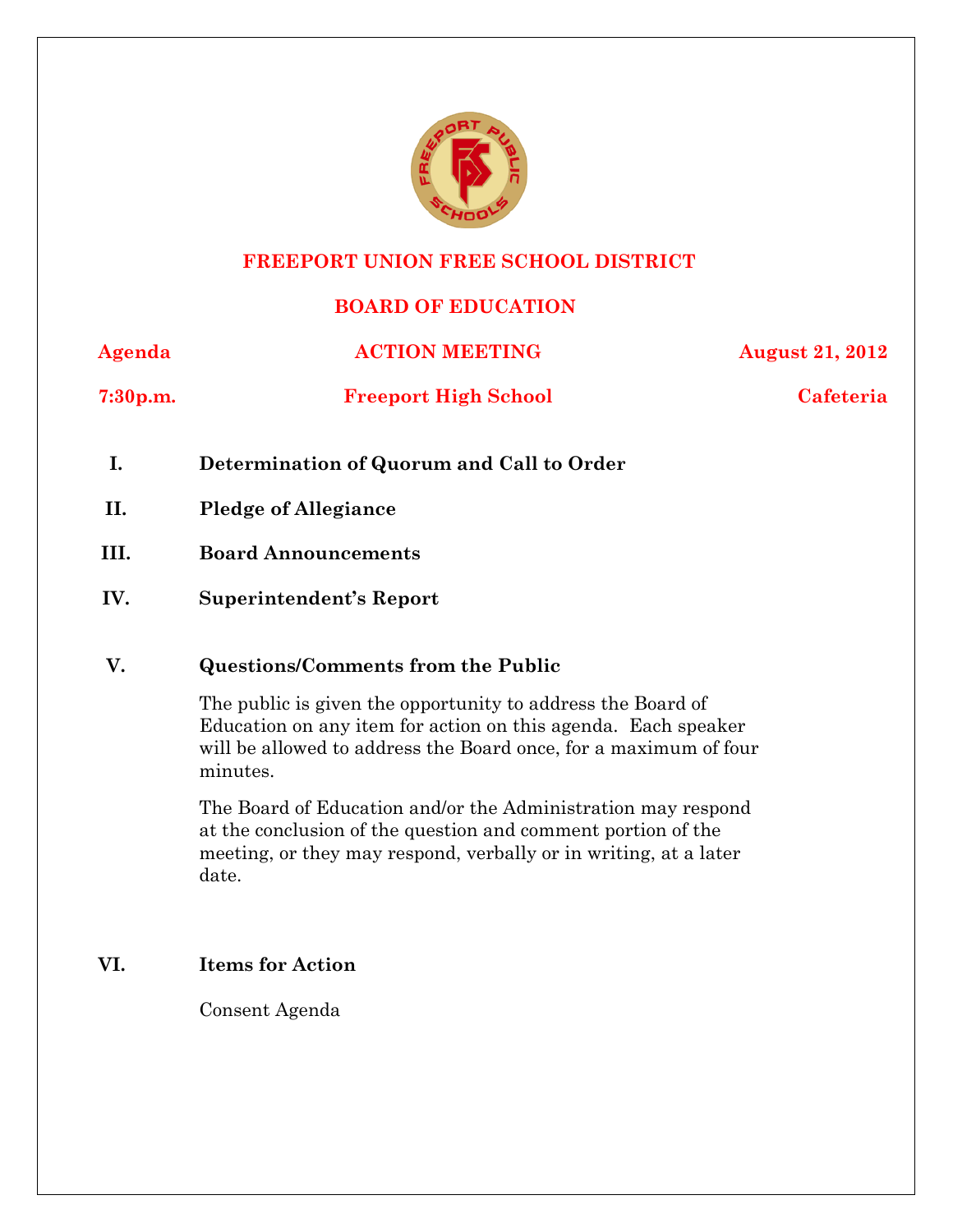

#### **FREEPORT UNION FREE SCHOOL DISTRICT**

# **BOARD OF EDUCATION**

**Agenda ACTION MEETING AUGUST 21, 2012** 

**7:30p.m. Freeport High School Cafeteria**

- **I. Determination of Quorum and Call to Order**
- **II. Pledge of Allegiance**
- **III. Board Announcements**
- **IV. Superintendent's Report**

## **V. Questions/Comments from the Public**

The public is given the opportunity to address the Board of Education on any item for action on this agenda. Each speaker will be allowed to address the Board once, for a maximum of four minutes.

The Board of Education and/or the Administration may respond at the conclusion of the question and comment portion of the meeting, or they may respond, verbally or in writing, at a later date.

## **VI. Items for Action**

Consent Agenda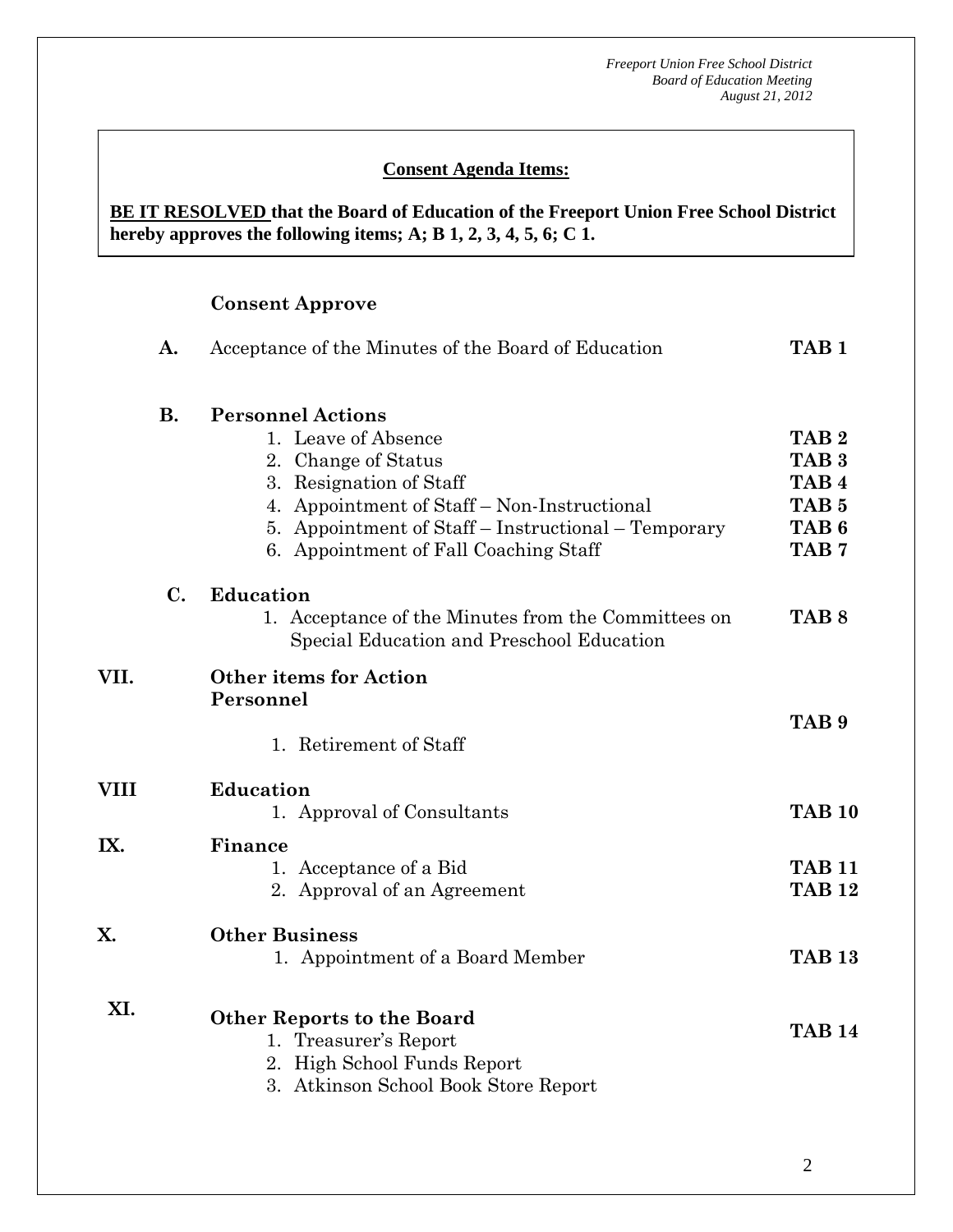## **Consent Agenda Items:**

#### *Acceptance of the Minutes*  $\mathbf{A}$ **BE IT RESOLVED that the Board of Education of the Freeport Union Free School District hereby approves the following items; A; B 1, 2, 3, 4, 5, 6; C 1.**

## **Consent Approve**

 **AA. Consent - Approve** 

|             | Acceptance of the Minutes of the Board of Education<br>A. |                                                                                                                                                                                                                                                  | TAB <sub>1</sub>                                                                                                     |  |
|-------------|-----------------------------------------------------------|--------------------------------------------------------------------------------------------------------------------------------------------------------------------------------------------------------------------------------------------------|----------------------------------------------------------------------------------------------------------------------|--|
|             | <b>B.</b>                                                 | <b>Personnel Actions</b><br>1. Leave of Absence<br>2. Change of Status<br>3. Resignation of Staff<br>4. Appointment of Staff - Non-Instructional<br>5. Appointment of Staff – Instructional – Temporary<br>6. Appointment of Fall Coaching Staff | TAB <sub>2</sub><br>TAB <sub>3</sub><br>TAB <sub>4</sub><br>TAB <sub>5</sub><br>TAB <sub>6</sub><br>TAB <sub>7</sub> |  |
|             | $C_{\bullet}$                                             | Education<br>1. Acceptance of the Minutes from the Committees on<br>Special Education and Preschool Education                                                                                                                                    | TAB <sub>8</sub>                                                                                                     |  |
| VII.        |                                                           | <b>Other items for Action</b><br>Personnel<br>1. Retirement of Staff                                                                                                                                                                             | TAB <sub>9</sub>                                                                                                     |  |
| <b>VIII</b> |                                                           | <b>Education</b><br>1. Approval of Consultants                                                                                                                                                                                                   | <b>TAB 10</b>                                                                                                        |  |
| IX.         |                                                           | Finance<br>1. Acceptance of a Bid<br>2. Approval of an Agreement                                                                                                                                                                                 | <b>TAB 11</b><br><b>TAB 12</b>                                                                                       |  |
| X.          |                                                           | <b>Other Business</b><br>1. Appointment of a Board Member                                                                                                                                                                                        | <b>TAB 13</b>                                                                                                        |  |
| XI.         |                                                           | <b>Other Reports to the Board</b><br>1. Treasurer's Report<br>2. High School Funds Report<br>3. Atkinson School Book Store Report                                                                                                                | <b>TAB 14</b>                                                                                                        |  |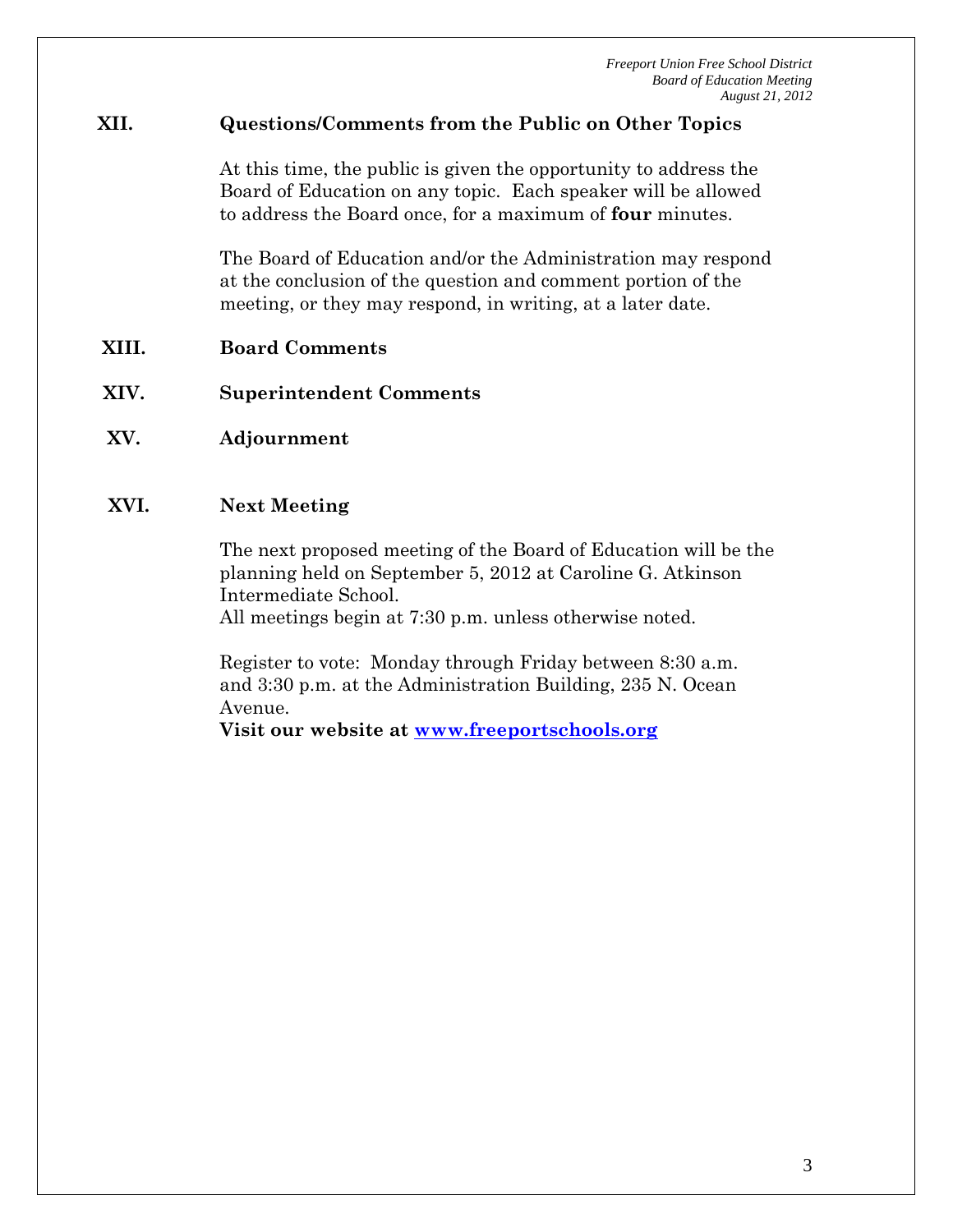## **XII. Questions/Comments from the Public on Other Topics**

At this time, the public is given the opportunity to address the Board of Education on any topic. Each speaker will be allowed to address the Board once, for a maximum of **four** minutes.

The Board of Education and/or the Administration may respond at the conclusion of the question and comment portion of the meeting, or they may respond, in writing, at a later date.

- **XIII. Board Comments**
- **XIV. Superintendent Comments**
- **XV. Adjournment**

#### **XVI. Next Meeting**

The next proposed meeting of the Board of Education will be the planning held on September 5, 2012 at Caroline G. Atkinson Intermediate School.

All meetings begin at 7:30 p.m. unless otherwise noted.

Register to vote: Monday through Friday between 8:30 a.m. and 3:30 p.m. at the Administration Building, 235 N. Ocean Avenue.

**Visit our website at www.freeportschools.org**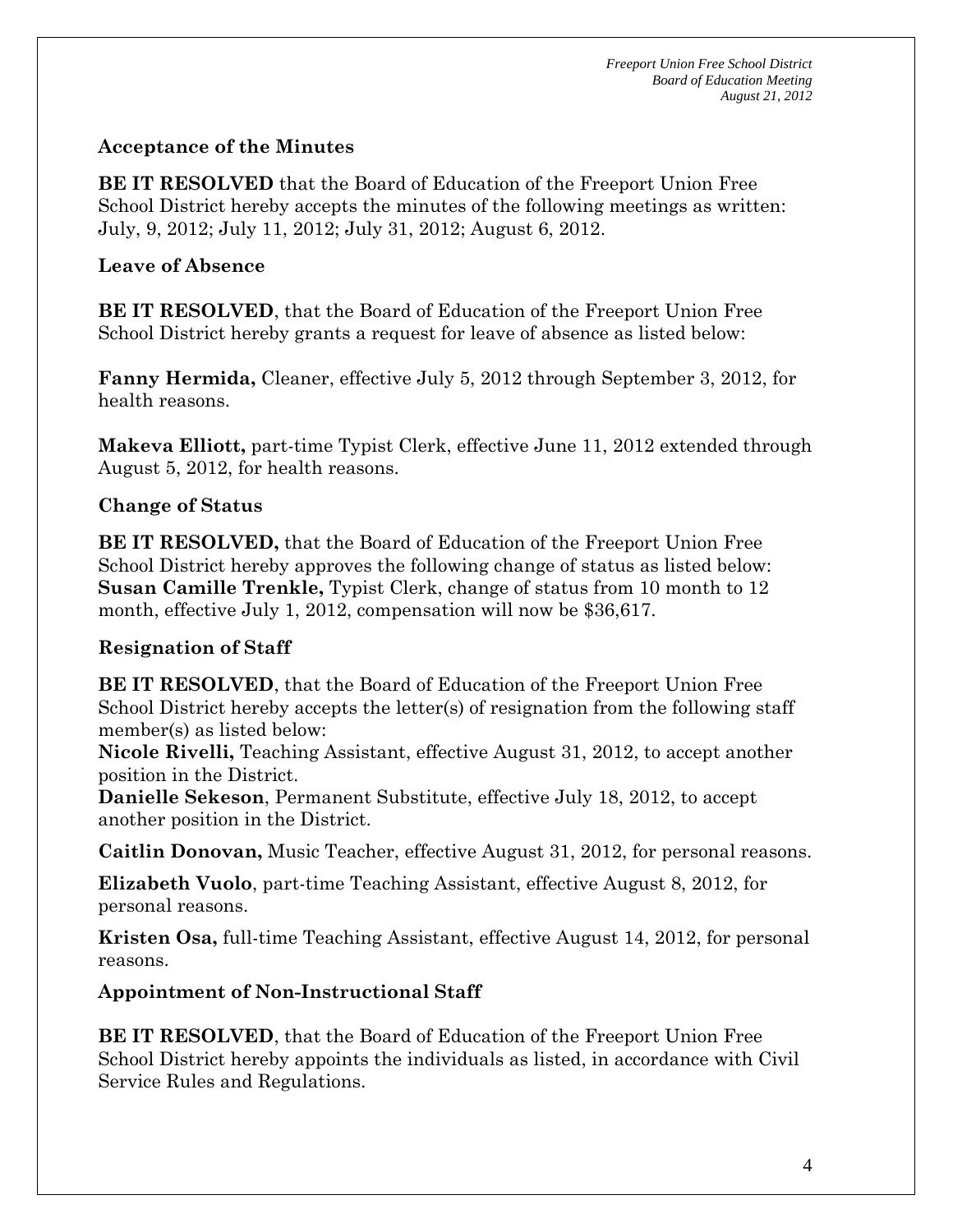# **Acceptance of the Minutes**

**BE IT RESOLVED** that the Board of Education of the Freeport Union Free School District hereby accepts the minutes of the following meetings as written: July, 9, 2012; July 11, 2012; July 31, 2012; August 6, 2012.

## **Leave of Absence**

**BE IT RESOLVED**, that the Board of Education of the Freeport Union Free School District hereby grants a request for leave of absence as listed below:

**Fanny Hermida,** Cleaner, effective July 5, 2012 through September 3, 2012, for health reasons.

**Makeva Elliott,** part-time Typist Clerk, effective June 11, 2012 extended through August 5, 2012, for health reasons.

# **Change of Status**

**BE IT RESOLVED,** that the Board of Education of the Freeport Union Free School District hereby approves the following change of status as listed below: **Susan Camille Trenkle,** Typist Clerk, change of status from 10 month to 12 month, effective July 1, 2012, compensation will now be \$36,617.

# **Resignation of Staff**

**BE IT RESOLVED**, that the Board of Education of the Freeport Union Free School District hereby accepts the letter(s) of resignation from the following staff member(s) as listed below:

**Nicole Rivelli,** Teaching Assistant, effective August 31, 2012, to accept another position in the District.

**Danielle Sekeson**, Permanent Substitute, effective July 18, 2012, to accept another position in the District.

**Caitlin Donovan,** Music Teacher, effective August 31, 2012, for personal reasons.

**Elizabeth Vuolo**, part-time Teaching Assistant, effective August 8, 2012, for personal reasons.

**Kristen Osa,** full-time Teaching Assistant, effective August 14, 2012, for personal reasons.

# **Appointment of Non-Instructional Staff**

**BE IT RESOLVED**, that the Board of Education of the Freeport Union Free School District hereby appoints the individuals as listed, in accordance with Civil Service Rules and Regulations.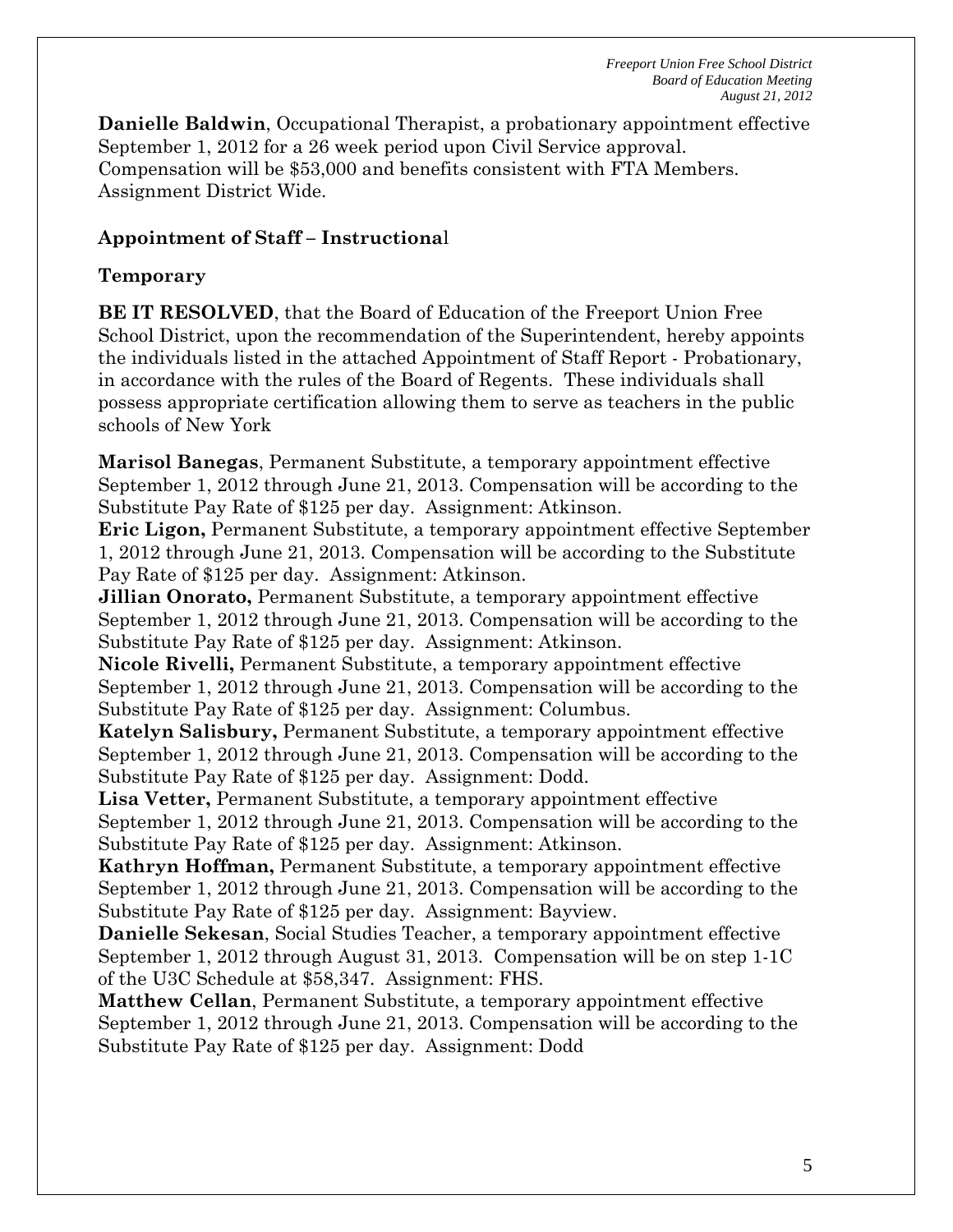*Freeport Union Free School District Board of Education Meeting August 21, 2012*

**Danielle Baldwin**, Occupational Therapist, a probationary appointment effective September 1, 2012 for a 26 week period upon Civil Service approval. Compensation will be \$53,000 and benefits consistent with FTA Members. Assignment District Wide.

#### **Appointment of Staff – Instructiona**l

#### **Temporary**

**BE IT RESOLVED**, that the Board of Education of the Freeport Union Free School District, upon the recommendation of the Superintendent, hereby appoints the individuals listed in the attached Appointment of Staff Report - Probationary, in accordance with the rules of the Board of Regents. These individuals shall possess appropriate certification allowing them to serve as teachers in the public schools of New York

**Marisol Banegas**, Permanent Substitute, a temporary appointment effective September 1, 2012 through June 21, 2013. Compensation will be according to the Substitute Pay Rate of \$125 per day. Assignment: Atkinson.

**Eric Ligon,** Permanent Substitute, a temporary appointment effective September 1, 2012 through June 21, 2013. Compensation will be according to the Substitute Pay Rate of \$125 per day. Assignment: Atkinson.

**Jillian Onorato,** Permanent Substitute, a temporary appointment effective September 1, 2012 through June 21, 2013. Compensation will be according to the Substitute Pay Rate of \$125 per day. Assignment: Atkinson.

**Nicole Rivelli,** Permanent Substitute, a temporary appointment effective September 1, 2012 through June 21, 2013. Compensation will be according to the Substitute Pay Rate of \$125 per day. Assignment: Columbus.

**Katelyn Salisbury,** Permanent Substitute, a temporary appointment effective September 1, 2012 through June 21, 2013. Compensation will be according to the Substitute Pay Rate of \$125 per day. Assignment: Dodd.

**Lisa Vetter,** Permanent Substitute, a temporary appointment effective September 1, 2012 through June 21, 2013. Compensation will be according to the Substitute Pay Rate of \$125 per day. Assignment: Atkinson.

**Kathryn Hoffman,** Permanent Substitute, a temporary appointment effective September 1, 2012 through June 21, 2013. Compensation will be according to the Substitute Pay Rate of \$125 per day. Assignment: Bayview.

**Danielle Sekesan**, Social Studies Teacher, a temporary appointment effective September 1, 2012 through August 31, 2013. Compensation will be on step 1-1C of the U3C Schedule at \$58,347. Assignment: FHS.

**Matthew Cellan**, Permanent Substitute, a temporary appointment effective September 1, 2012 through June 21, 2013. Compensation will be according to the Substitute Pay Rate of \$125 per day. Assignment: Dodd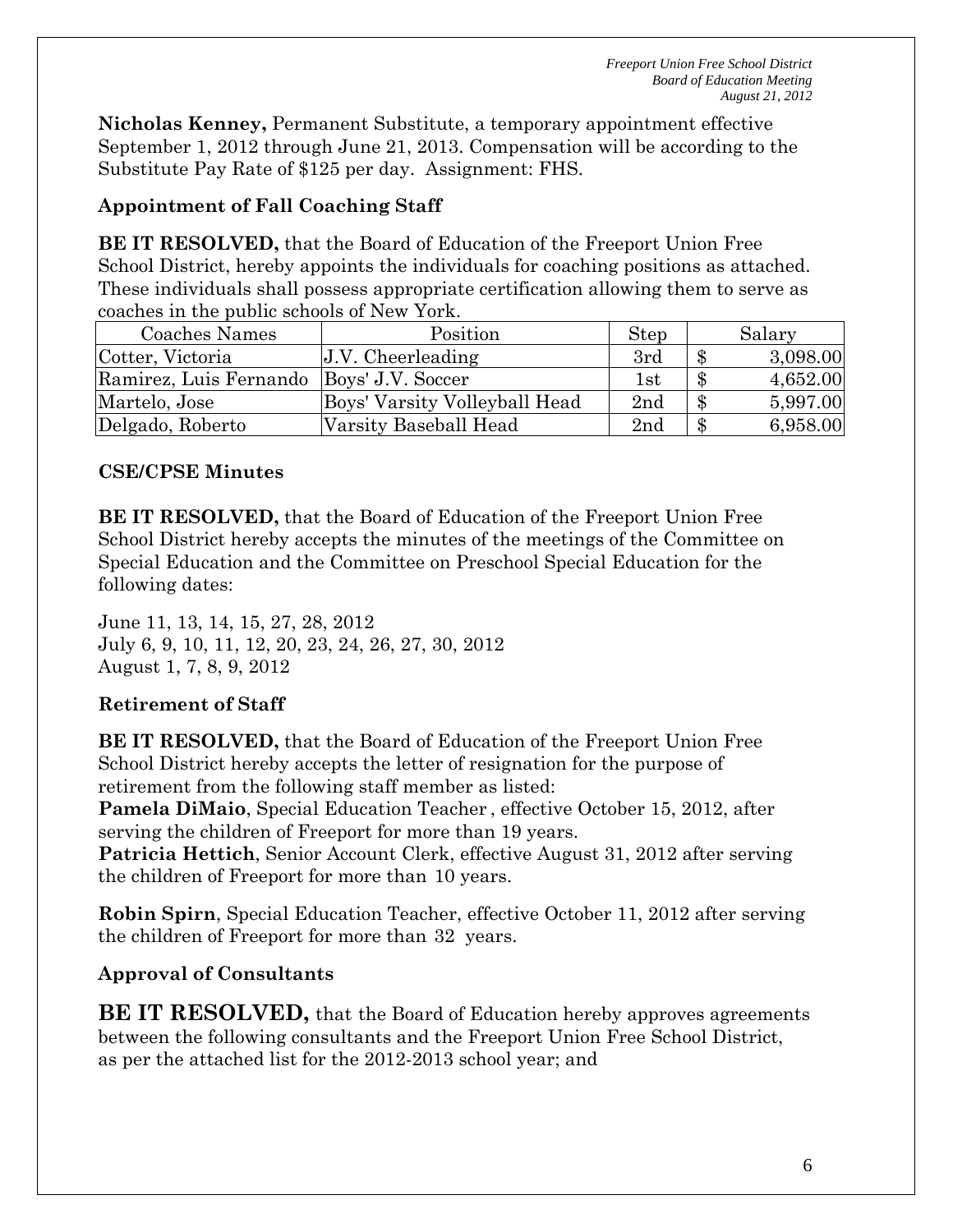*Freeport Union Free School District Board of Education Meeting August 21, 2012*

**Nicholas Kenney,** Permanent Substitute, a temporary appointment effective September 1, 2012 through June 21, 2013. Compensation will be according to the Substitute Pay Rate of \$125 per day. Assignment: FHS.

## **Appointment of Fall Coaching Staff**

**BE IT RESOLVED,** that the Board of Education of the Freeport Union Free School District, hereby appoints the individuals for coaching positions as attached. These individuals shall possess appropriate certification allowing them to serve as coaches in the public schools of New York.

| Coaches Names                              | Position                      | <b>Step</b> |               | Salary   |
|--------------------------------------------|-------------------------------|-------------|---------------|----------|
| Cotter, Victoria                           | $J.V.$ Cheerleading           | 3rd         | $\, \$$       | 3,098.00 |
| Ramirez, Luis Fernando   Boys' J.V. Soccer |                               | 1st         | $\mathbf{\$}$ | 4,652.00 |
| Martelo, Jose                              | Boys' Varsity Volleyball Head | 2nd         | -\$           | 5,997.00 |
| Delgado, Roberto                           | Varsity Baseball Head         | 2nd         | $\mathcal{S}$ | 6,958.00 |

#### **CSE/CPSE Minutes**

**BE IT RESOLVED,** that the Board of Education of the Freeport Union Free School District hereby accepts the minutes of the meetings of the Committee on Special Education and the Committee on Preschool Special Education for the following dates:

June 11, 13, 14, 15, 27, 28, 2012 July 6, 9, 10, 11, 12, 20, 23, 24, 26, 27, 30, 2012 August 1, 7, 8, 9, 2012

## **Retirement of Staff**

**BE IT RESOLVED,** that the Board of Education of the Freeport Union Free School District hereby accepts the letter of resignation for the purpose of retirement from the following staff member as listed:

**Pamela DiMaio**, Special Education Teacher , effective October 15, 2012, after serving the children of Freeport for more than 19 years.

**Patricia Hettich**, Senior Account Clerk, effective August 31, 2012 after serving the children of Freeport for more than 10 years.

**Robin Spirn**, Special Education Teacher, effective October 11, 2012 after serving the children of Freeport for more than 32 years.

## **Approval of Consultants**

**BE IT RESOLVED,** that the Board of Education hereby approves agreements between the following consultants and the Freeport Union Free School District, as per the attached list for the 2012-2013 school year; and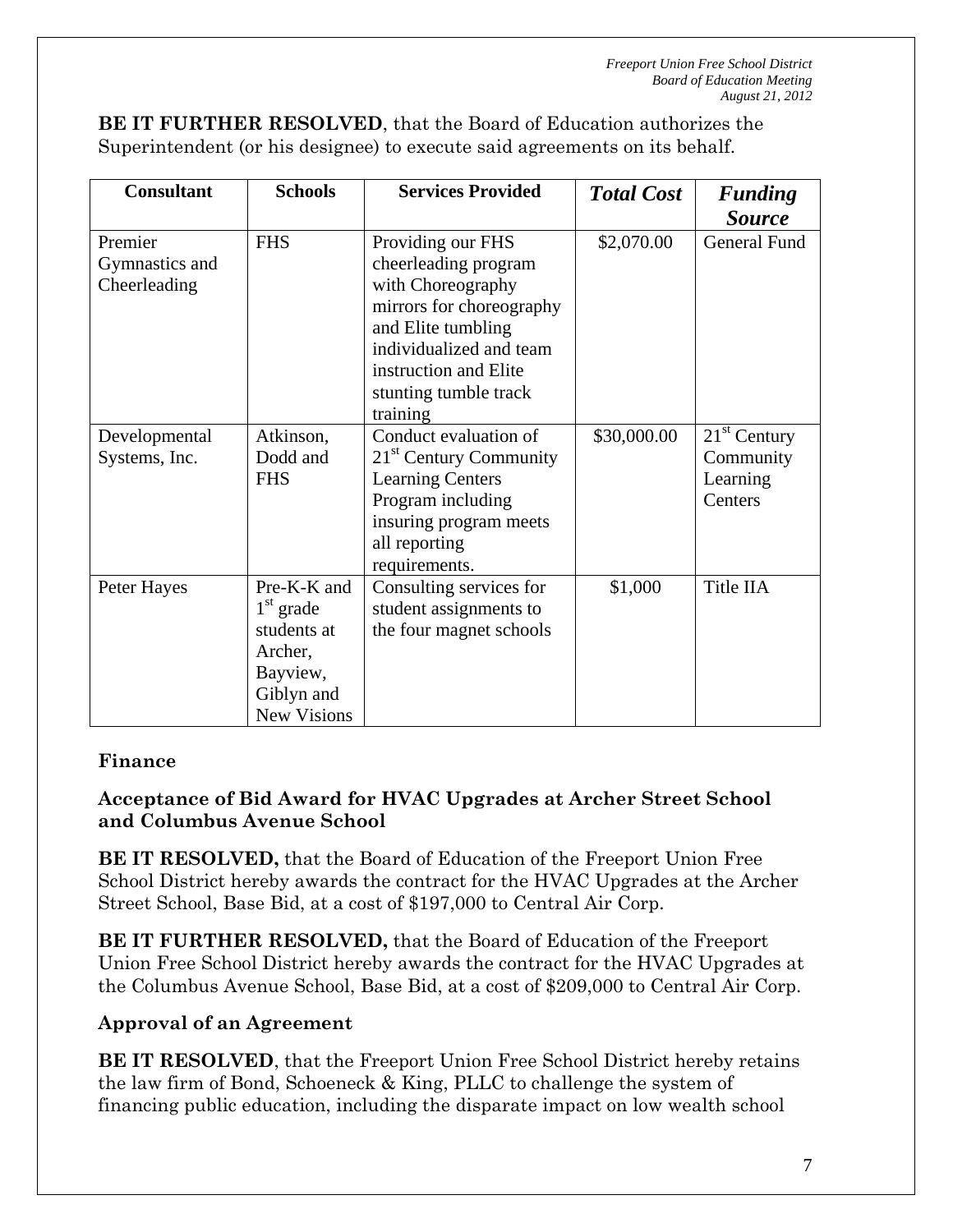**BE IT FURTHER RESOLVED**, that the Board of Education authorizes the Superintendent (or his designee) to execute said agreements on its behalf.

| <b>Consultant</b>                         | <b>Schools</b>                                                                                       | <b>Services Provided</b>                                                                                                                                                                                  | <b>Total Cost</b> | <b>Funding</b>                                     |
|-------------------------------------------|------------------------------------------------------------------------------------------------------|-----------------------------------------------------------------------------------------------------------------------------------------------------------------------------------------------------------|-------------------|----------------------------------------------------|
|                                           |                                                                                                      |                                                                                                                                                                                                           |                   | <b>Source</b>                                      |
| Premier<br>Gymnastics and<br>Cheerleading | <b>FHS</b>                                                                                           | Providing our FHS<br>cheerleading program<br>with Choreography<br>mirrors for choreography<br>and Elite tumbling<br>individualized and team<br>instruction and Elite<br>stunting tumble track<br>training | \$2,070.00        | <b>General Fund</b>                                |
| Developmental<br>Systems, Inc.            | Atkinson,<br>Dodd and<br><b>FHS</b>                                                                  | Conduct evaluation of<br>21 <sup>st</sup> Century Community<br><b>Learning Centers</b><br>Program including<br>insuring program meets<br>all reporting<br>requirements.                                   | \$30,000.00       | $21st$ Century<br>Community<br>Learning<br>Centers |
| Peter Hayes                               | Pre-K-K and<br>$1st$ grade<br>students at<br>Archer,<br>Bayview,<br>Giblyn and<br><b>New Visions</b> | Consulting services for<br>student assignments to<br>the four magnet schools                                                                                                                              | \$1,000           | Title IIA                                          |

# **Finance**

# **Acceptance of Bid Award for HVAC Upgrades at Archer Street School and Columbus Avenue School**

**BE IT RESOLVED,** that the Board of Education of the Freeport Union Free School District hereby awards the contract for the HVAC Upgrades at the Archer Street School, Base Bid, at a cost of \$197,000 to Central Air Corp.

**BE IT FURTHER RESOLVED,** that the Board of Education of the Freeport Union Free School District hereby awards the contract for the HVAC Upgrades at the Columbus Avenue School, Base Bid, at a cost of \$209,000 to Central Air Corp.

# **Approval of an Agreement**

**BE IT RESOLVED**, that the Freeport Union Free School District hereby retains the law firm of Bond, Schoeneck & King, PLLC to challenge the system of financing public education, including the disparate impact on low wealth school